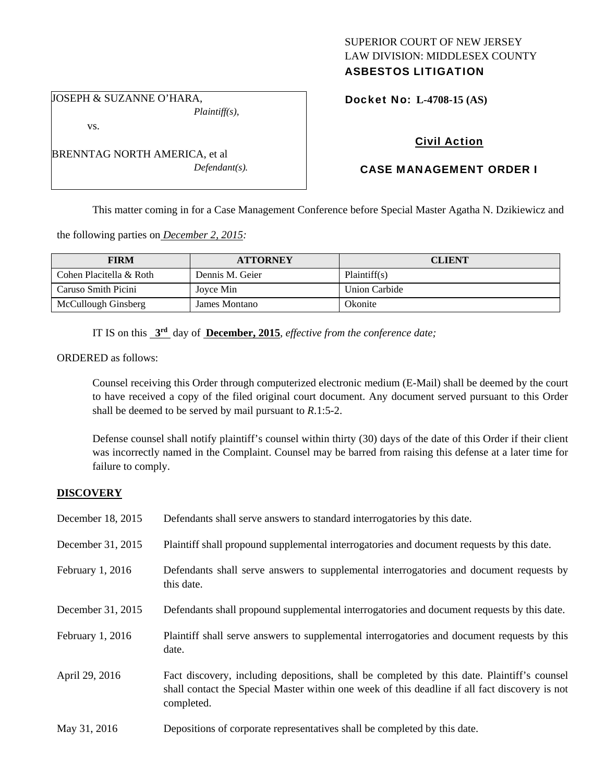## SUPERIOR COURT OF NEW JERSEY LAW DIVISION: MIDDLESEX COUNTY ASBESTOS LITIGATION

vs.

BRENNTAG NORTH AMERICA, et al *Defendant(s).* 

*Plaintiff(s),* 

JOSEPH & SUZANNE O'HARA,

Docket No: **L-4708-15 (AS)** 

# Civil Action

# CASE MANAGEMENT ORDER I

This matter coming in for a Case Management Conference before Special Master Agatha N. Dzikiewicz and

the following parties on *December 2, 2015:* 

| <b>FIRM</b>             | <b>ATTORNEY</b> | <b>CLIENT</b>        |
|-------------------------|-----------------|----------------------|
| Cohen Placitella & Roth | Dennis M. Geier | Plaintiff(s)         |
| Caruso Smith Picini     | Jovce Min       | <b>Union Carbide</b> |
| McCullough Ginsberg     | James Montano   | Okonite              |

IT IS on this **3rd** day of **December, 2015**, *effective from the conference date;*

ORDERED as follows:

Counsel receiving this Order through computerized electronic medium (E-Mail) shall be deemed by the court to have received a copy of the filed original court document. Any document served pursuant to this Order shall be deemed to be served by mail pursuant to *R*.1:5-2.

Defense counsel shall notify plaintiff's counsel within thirty (30) days of the date of this Order if their client was incorrectly named in the Complaint. Counsel may be barred from raising this defense at a later time for failure to comply.

## **DISCOVERY**

| December 18, 2015  | Defendants shall serve answers to standard interrogatories by this date.                                                                                                                                    |
|--------------------|-------------------------------------------------------------------------------------------------------------------------------------------------------------------------------------------------------------|
| December 31, 2015  | Plaintiff shall propound supplemental interrogatories and document requests by this date.                                                                                                                   |
| February $1, 2016$ | Defendants shall serve answers to supplemental interrogatories and document requests by<br>this date.                                                                                                       |
| December 31, 2015  | Defendants shall propound supplemental interrogatories and document requests by this date.                                                                                                                  |
| February 1, 2016   | Plaintiff shall serve answers to supplemental interrogatories and document requests by this<br>date.                                                                                                        |
| April 29, 2016     | Fact discovery, including depositions, shall be completed by this date. Plaintiff's counsel<br>shall contact the Special Master within one week of this deadline if all fact discovery is not<br>completed. |
| May 31, 2016       | Depositions of corporate representatives shall be completed by this date.                                                                                                                                   |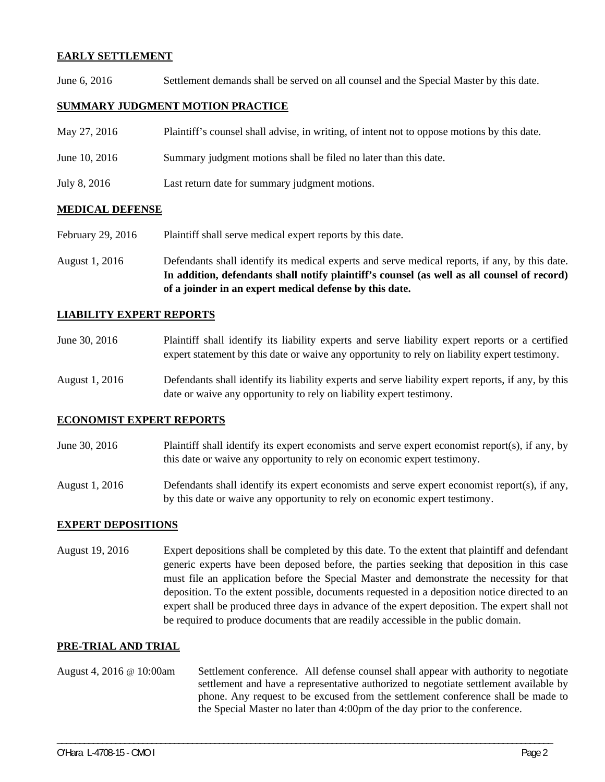## **EARLY SETTLEMENT**

June 6, 2016 Settlement demands shall be served on all counsel and the Special Master by this date.

## **SUMMARY JUDGMENT MOTION PRACTICE**

| May 27, 2016  | Plaintiff's counsel shall advise, in writing, of intent not to oppose motions by this date. |
|---------------|---------------------------------------------------------------------------------------------|
| June 10, 2016 | Summary judgment motions shall be filed no later than this date.                            |
| July 8, 2016  | Last return date for summary judgment motions.                                              |

#### **MEDICAL DEFENSE**

- February 29, 2016 Plaintiff shall serve medical expert reports by this date.
- August 1, 2016 Defendants shall identify its medical experts and serve medical reports, if any, by this date. **In addition, defendants shall notify plaintiff's counsel (as well as all counsel of record) of a joinder in an expert medical defense by this date.**

## **LIABILITY EXPERT REPORTS**

| June 30, 2016 | Plaintiff shall identify its liability experts and serve liability expert reports or a certified |
|---------------|--------------------------------------------------------------------------------------------------|
|               | expert statement by this date or waive any opportunity to rely on liability expert testimony.    |

August 1, 2016 Defendants shall identify its liability experts and serve liability expert reports, if any, by this date or waive any opportunity to rely on liability expert testimony.

# **ECONOMIST EXPERT REPORTS**

- June 30, 2016 Plaintiff shall identify its expert economists and serve expert economist report(s), if any, by this date or waive any opportunity to rely on economic expert testimony.
- August 1, 2016 Defendants shall identify its expert economists and serve expert economist report(s), if any, by this date or waive any opportunity to rely on economic expert testimony.

#### **EXPERT DEPOSITIONS**

August 19, 2016 Expert depositions shall be completed by this date. To the extent that plaintiff and defendant generic experts have been deposed before, the parties seeking that deposition in this case must file an application before the Special Master and demonstrate the necessity for that deposition. To the extent possible, documents requested in a deposition notice directed to an expert shall be produced three days in advance of the expert deposition. The expert shall not be required to produce documents that are readily accessible in the public domain.

#### **PRE-TRIAL AND TRIAL**

August 4, 2016 @ 10:00am Settlement conference. All defense counsel shall appear with authority to negotiate settlement and have a representative authorized to negotiate settlement available by phone. Any request to be excused from the settlement conference shall be made to the Special Master no later than 4:00pm of the day prior to the conference.

\_\_\_\_\_\_\_\_\_\_\_\_\_\_\_\_\_\_\_\_\_\_\_\_\_\_\_\_\_\_\_\_\_\_\_\_\_\_\_\_\_\_\_\_\_\_\_\_\_\_\_\_\_\_\_\_\_\_\_\_\_\_\_\_\_\_\_\_\_\_\_\_\_\_\_\_\_\_\_\_\_\_\_\_\_\_\_\_\_\_\_\_\_\_\_\_\_\_\_\_\_\_\_\_\_\_\_\_\_\_